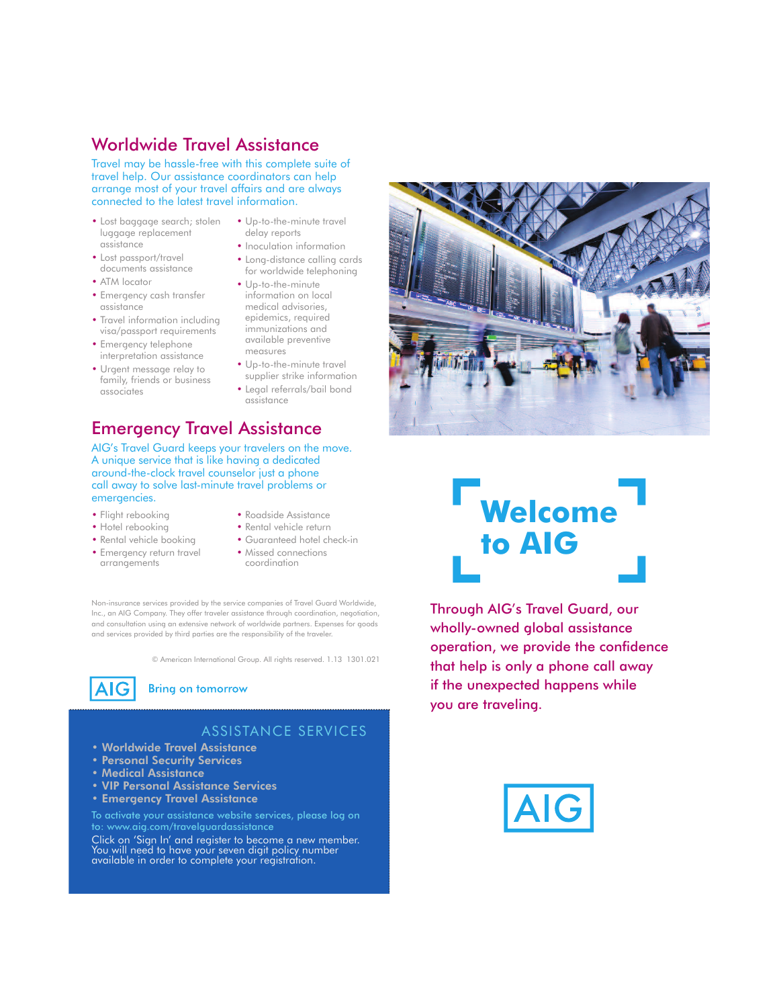## Worldwide Travel Assistance

Travel may be hassle-free with this complete suite of travel help. Our assistance coordinators can help arrange most of your travel affairs and are always connected to the latest travel information.

- Lost baggage search; stolen luggage replacement assistance
- Lost passport/travel documents assistance
- ATM locator
- Emergency cash transfer assistance
- Travel information including visa/passport requirements
- Emergency telephone interpretation assistance
- Urgent message relay to family, friends or business associates
- Up-to-the-minute travel delay reports
- Inoculation information
- Long-distance calling cards for worldwide telephoning
- Up-to-the-minute information on local medical advisories, epidemics, required immunizations and available preventive measures
- Up-to-the-minute travel supplier strike information
- Legal referrals/bail bond assistance

# Emergency Travel Assistance

AIG's Travel Guard keeps your travelers on the move. A unique service that is like having a dedicated around-the-clock travel counselor just a phone call away to solve last-minute travel problems or emergencies.

- Flight rebooking
- Hotel rebooking
- Rental vehicle booking
- Emergency return travel arrangements
- Roadside Assistance • Rental vehicle return
- Guaranteed hotel check-in
- Missed connections
- 

coordination

Non-insurance services provided by the service companies of Travel Guard Worldwide, Inc., an AIG Company. They offer traveler assistance through coordination, negotiation, and consultation using an extensive network of worldwide partners. Expenses for goods and services provided by third parties are the responsibility of the traveler.

© American International Group. All rights reserved. 1.13 1301.021



#### **Bring on tomorrow**

## ASSISTANCE SERVICES

- Worldwide Travel Assistance
- Personal Security Services
- Medical Assistance
- VIP Personal Assistance Services
- Emergency Travel Assistance

To activate your assistance website services, please log on to: www.aig.com/travelguardassistance

Click on 'Sign In' and register to become a new member. You will need to have your seven digit policy number available in order to complete your registration.



# **Welcome to AIG**

Through AIG's Travel Guard, our wholly-owned global assistance operation, we provide the confidence that help is only a phone call away if the unexpected happens while you are traveling.